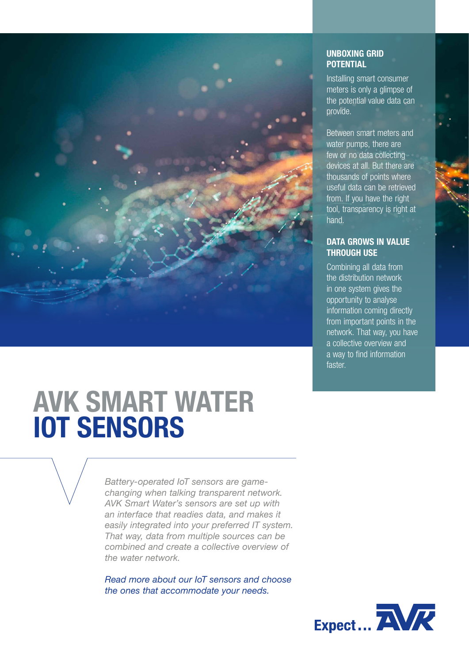

## UNBOXING GRID **POTENTIAL**

Installing smart consumer meters is only a glimpse of the potential value data can provide.

Between smart meters and water pumps, there are few or no data collecting devices at all. But there are thousands of points where useful data can be retrieved from. If you have the right tool, transparency is right at hand.

### DATA GROWS IN VALUE THROUGH USE

Combining all data from the distribution network in one system gives the opportunity to analyse information coming directly from important points in the network. That way, you have a collective overview and a way to find information faster.

# AVK SMART WATER IOT SENSORS

*Battery-operated IoT sensors are gamechanging when talking transparent network. AVK Smart Water's sensors are set up with an interface that readies data, and makes it easily integrated into your preferred IT system. That way, data from multiple sources can be combined and create a collective overview of the water network.*

*Read more about our IoT sensors and choose the ones that accommodate your needs.*

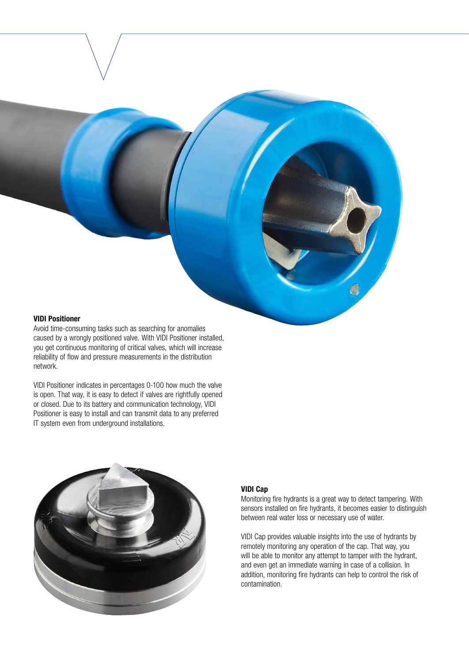#### VIDI Positioner

Avoid time-consuming tasks such as searching for anomalies caused by a wrongly positioned valve. With VIDI Positioner installed, you get continuous monitoring of critical valves, which will increase reliability of flow and pressure measurements in the distribution network.

VIDI Positioner indicates in percentages 0-100 how much the valve is open. That way, it is easy to detect if valves are rightfully opened or closed. Due to its battery and communication technology, VIDI Positioner is easy to install and can transmit data to any preferred IT system even from underground installations.



#### VIDI Cap

Monitoring fire hydrants is a great way to detect tampering. With sensors installed on fire hydrants, it becomes easier to distinguish between real water loss or necessary use of water.

VIDI Cap provides valuable insights into the use of hydrants by remotely monitoring any operation of the cap. That way, you will be able to monitor any attempt to tamper with the hydrant, and even get an immediate warning in case of a collision. In addition, monitoring fire hydrants can help to control the risk of contamination.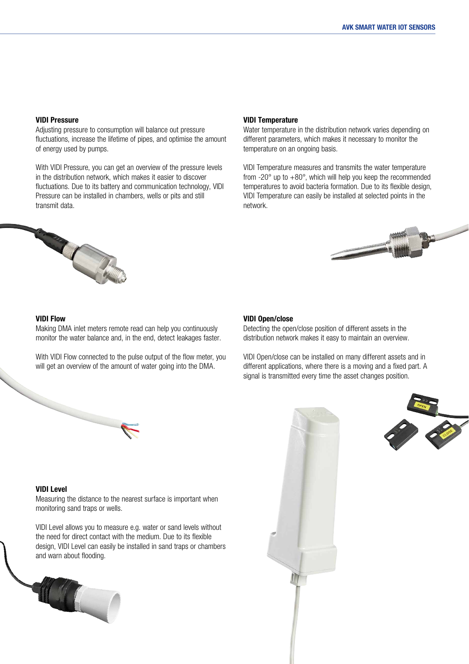#### VIDI Pressure

Adjusting pressure to consumption will balance out pressure fluctuations, increase the lifetime of pipes, and optimise the amount of energy used by pumps.

With VIDI Pressure, you can get an overview of the pressure levels in the distribution network, which makes it easier to discover fluctuations. Due to its battery and communication technology, VIDI Pressure can be installed in chambers, wells or pits and still transmit data.

#### VIDI Temperature

Water temperature in the distribution network varies depending on different parameters, which makes it necessary to monitor the temperature on an ongoing basis.

VIDI Temperature measures and transmits the water temperature from  $-20^\circ$  up to  $+80^\circ$ , which will help you keep the recommended temperatures to avoid bacteria formation. Due to its flexible design, VIDI Temperature can easily be installed at selected points in the network.





#### VIDI Flow

Making DMA inlet meters remote read can help you continuously monitor the water balance and, in the end, detect leakages faster.

With VIDI Flow connected to the pulse output of the flow meter, you will get an overview of the amount of water going into the DMA.

#### VIDI Open/close

Detecting the open/close position of different assets in the distribution network makes it easy to maintain an overview.

VIDI Open/close can be installed on many different assets and in different applications, where there is a moving and a fixed part. A signal is transmitted every time the asset changes position.

#### VIDI Level

Measuring the distance to the nearest surface is important when monitoring sand traps or wells.

VIDI Level allows you to measure e.g. water or sand levels without the need for direct contact with the medium. Due to its flexible design, VIDI Level can easily be installed in sand traps or chambers and warn about flooding.